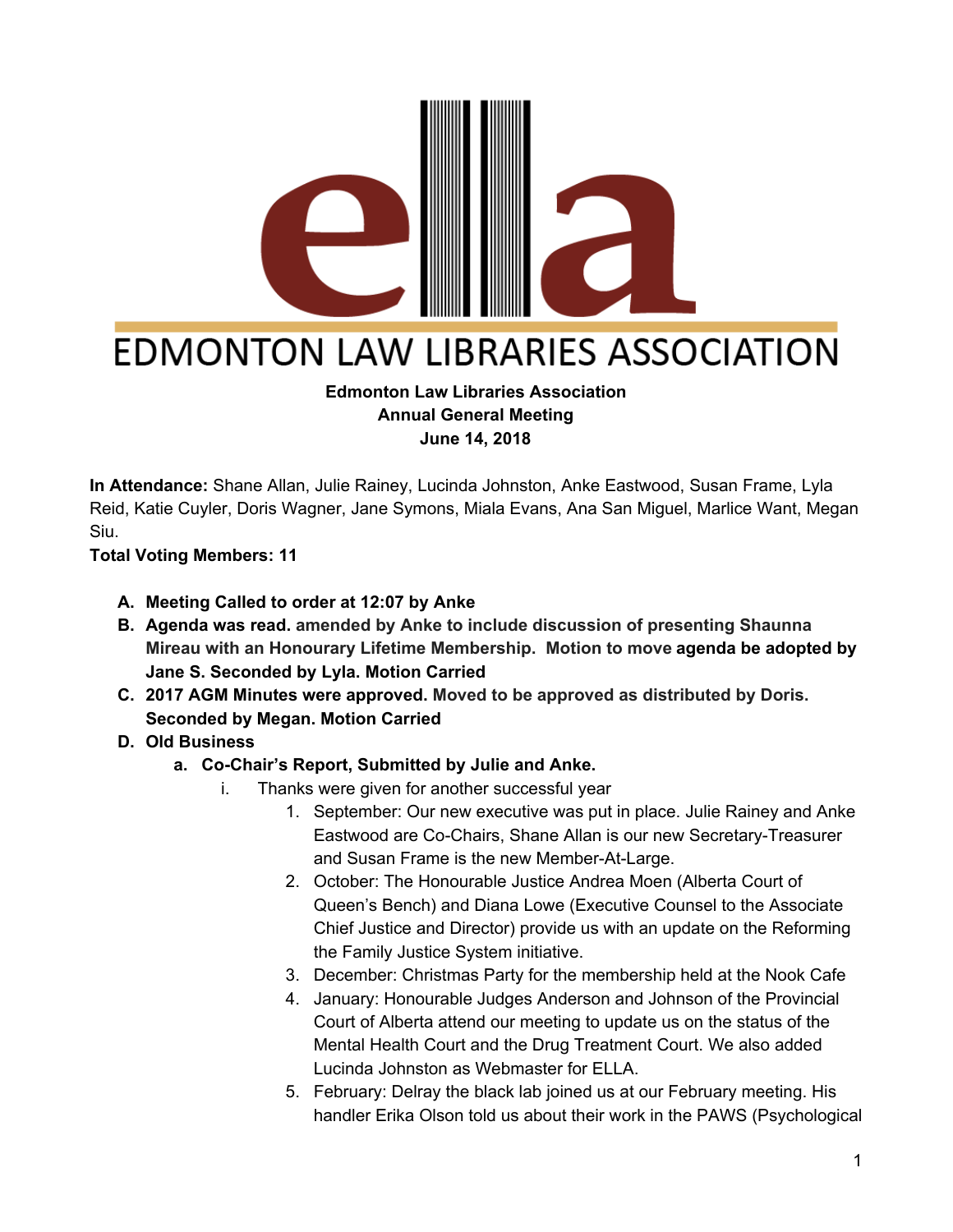

# **EDMONTON LAW LIBRARIES ASSOCIATION**

#### **Edmonton Law Libraries Association Annual General Meeting June 14, 2018**

**In Attendance:** Shane Allan, Julie Rainey, Lucinda Johnston, Anke Eastwood, Susan Frame, Lyla Reid, Katie Cuyler, Doris Wagner, Jane Symons, Miala Evans, Ana San Miguel, Marlice Want, Megan Siu.

**Total Voting Members: 11**

- **A. Meeting Called to order at 12:07 by Anke**
- **B. Agenda was read. amended by Anke to include discussion of presenting Shaunna Mireau with an Honourary Lifetime Membership. Motion to move agenda be adopted by Jane S. Seconded by Lyla. Motion Carried**
- **C. 2017 AGM Minutes were approved. Moved to be approved as distributed by Doris. Seconded by Megan. Motion Carried**
- **D. Old Business**
	- **a. Co-Chair's Report, Submitted by Julie and Anke.**
		- i. Thanks were given for another successful year
			- 1. September: Our new executive was put in place. Julie Rainey and Anke Eastwood are Co-Chairs, Shane Allan is our new Secretary-Treasurer and Susan Frame is the new Member-At-Large.
			- 2. October: The Honourable Justice Andrea Moen (Alberta Court of Queen's Bench) and Diana Lowe (Executive Counsel to the Associate Chief Justice and Director) provide us with an update on the Reforming the Family Justice System initiative.
			- 3. December: Christmas Party for the membership held at the Nook Cafe
			- 4. January: Honourable Judges Anderson and Johnson of the Provincial Court of Alberta attend our meeting to update us on the status of the Mental Health Court and the Drug Treatment Court. We also added Lucinda Johnston as Webmaster for ELLA.
			- 5. February: Delray the black lab joined us at our February meeting. His handler Erika Olson told us about their work in the PAWS (Psychological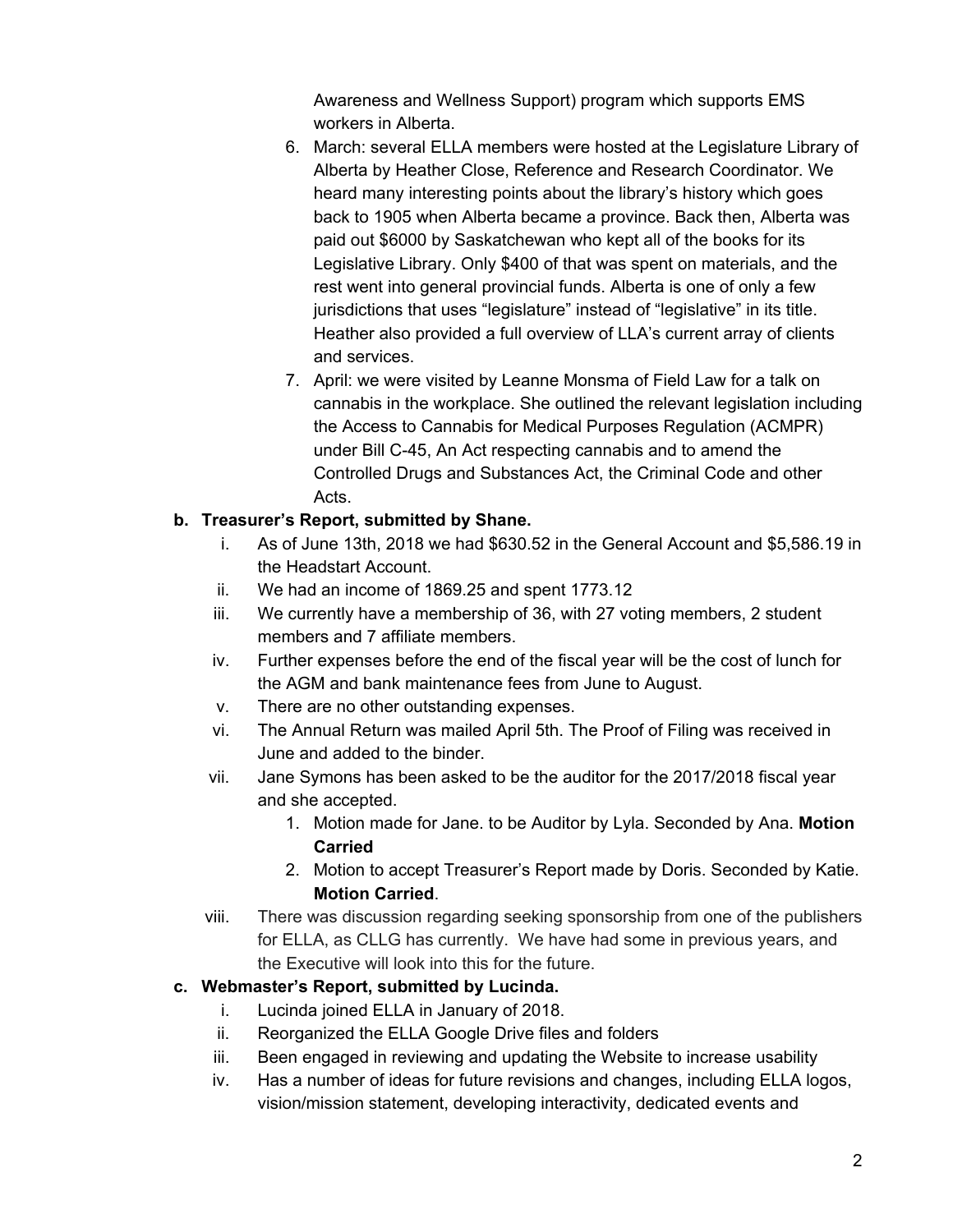Awareness and Wellness Support) program which supports EMS workers in Alberta.

- 6. March: several ELLA members were hosted at the Legislature Library of Alberta by Heather Close, Reference and Research Coordinator. We heard many interesting points about the library's history which goes back to 1905 when Alberta became a province. Back then, Alberta was paid out \$6000 by Saskatchewan who kept all of the books for its Legislative Library. Only \$400 of that was spent on materials, and the rest went into general provincial funds. Alberta is one of only a few jurisdictions that uses "legislature" instead of "legislative" in its title. Heather also provided a full overview of LLA's current array of clients and services.
- 7. April: we were visited by Leanne Monsma of Field Law for a talk on cannabis in the workplace. She outlined the relevant legislation including the Access to Cannabis for Medical Purposes Regulation (ACMPR) under Bill C-45, An Act respecting cannabis and to amend the Controlled Drugs and Substances Act, the Criminal Code and other Acts.

#### **b. Treasurer's Report, submitted by Shane.**

- i. As of June 13th, 2018 we had \$630.52 in the General Account and \$5,586.19 in the Headstart Account.
- ii. We had an income of 1869.25 and spent 1773.12
- iii. We currently have a membership of 36, with 27 voting members, 2 student members and 7 affiliate members.
- iv. Further expenses before the end of the fiscal year will be the cost of lunch for the AGM and bank maintenance fees from June to August.
- v. There are no other outstanding expenses.
- vi. The Annual Return was mailed April 5th. The Proof of Filing was received in June and added to the binder.
- vii. Jane Symons has been asked to be the auditor for the 2017/2018 fiscal year and she accepted.
	- 1. Motion made for Jane. to be Auditor by Lyla. Seconded by Ana. **Motion Carried**
	- 2. Motion to accept Treasurer's Report made by Doris. Seconded by Katie. **Motion Carried**.
- viii. There was discussion regarding seeking sponsorship from one of the publishers for ELLA, as CLLG has currently. We have had some in previous years, and the Executive will look into this for the future.

#### **c. Webmaster's Report, submitted by Lucinda.**

- i. Lucinda joined ELLA in January of 2018.
- ii. Reorganized the ELLA Google Drive files and folders
- iii. Been engaged in reviewing and updating the Website to increase usability
- iv. Has a number of ideas for future revisions and changes, including ELLA logos, vision/mission statement, developing interactivity, dedicated events and